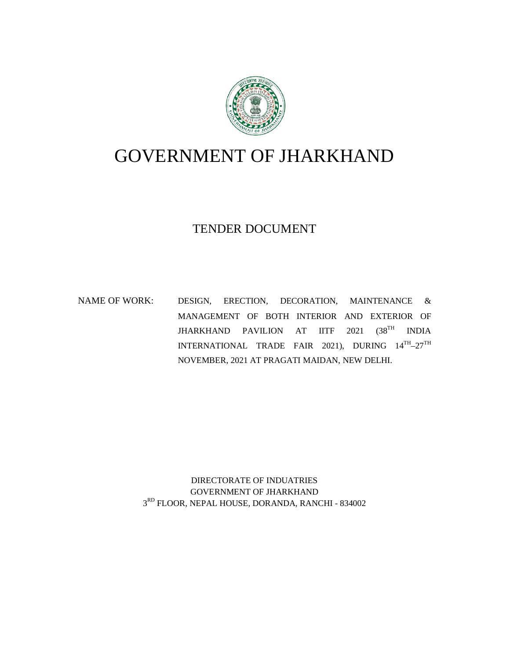

# GOVERNMENT OF JHARKHAND

# TENDER DOCUMENT

NAME OF WORK: DESIGN, ERECTION, DECORATION, MAINTENANCE & MANAGEMENT OF BOTH INTERIOR AND EXTERIOR OF JHARKHAND PAVILION AT IITF 2021 (38TH INDIA  $\text{INTERNATIONAL} \quad \text{TRADE} \quad \text{FAIR} \quad 2021), \quad \text{DURING} \quad 14^{\text{TH}}\text{--}27^{\text{TH}}$ NOVEMBER, 2021 AT PRAGATI MAIDAN, NEW DELHI.

> DIRECTORATE OF INDUATRIES GOVERNMENT OF JHARKHAND 3 RD FLOOR, NEPAL HOUSE, DORANDA, RANCHI - 834002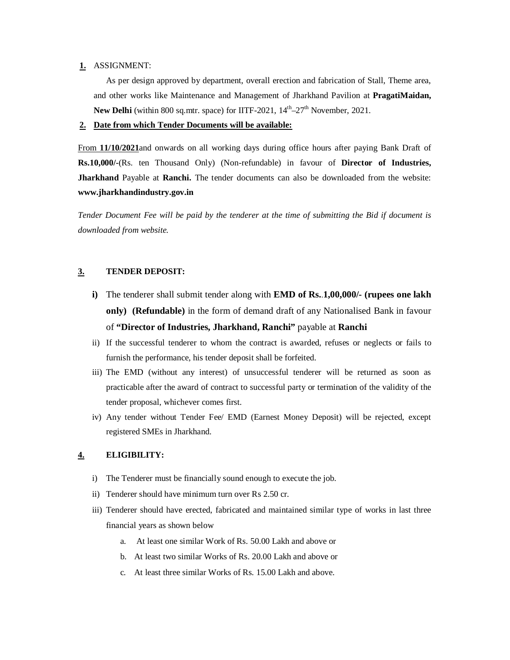### **1.** ASSIGNMENT:

As per design approved by department, overall erection and fabrication of Stall, Theme area, and other works like Maintenance and Management of Jharkhand Pavilion at **PragatiMaidan, New Delhi** (within 800 sq.mtr. space) for IITF-2021, 14<sup>th</sup>-27<sup>th</sup> November, 2021.

# **2. Date from which Tender Documents will be available:**

From **11/10/2021**and onwards on all working days during office hours after paying Bank Draft of **Rs.10,000/-**(Rs. ten Thousand Only) (Non-refundable) in favour of **Director of Industries, Jharkhand** Payable at **Ranchi.** The tender documents can also be downloaded from the website: **www.jharkhandindustry.gov.in**

*Tender Document Fee will be paid by the tenderer at the time of submitting the Bid if document is downloaded from website.* 

## **3. TENDER DEPOSIT:**

- **i)** The tenderer shall submit tender along with **EMD of Rs.**.**1,00,000/- (rupees one lakh only) (Refundable)** in the form of demand draft of any Nationalised Bank in favour of **"Director of Industries, Jharkhand, Ranchi"** payable at **Ranchi**
- ii) If the successful tenderer to whom the contract is awarded, refuses or neglects or fails to furnish the performance, his tender deposit shall be forfeited.
- iii) The EMD (without any interest) of unsuccessful tenderer will be returned as soon as practicable after the award of contract to successful party or termination of the validity of the tender proposal, whichever comes first.
- iv) Any tender without Tender Fee/ EMD (Earnest Money Deposit) will be rejected, except registered SMEs in Jharkhand.

### **4. ELIGIBILITY:**

- i) The Tenderer must be financially sound enough to execute the job.
- ii) Tenderer should have minimum turn over Rs 2.50 cr.
- iii) Tenderer should have erected, fabricated and maintained similar type of works in last three financial years as shown below
	- a. At least one similar Work of Rs. 50.00 Lakh and above or
	- b. At least two similar Works of Rs. 20.00 Lakh and above or
	- c. At least three similar Works of Rs. 15.00 Lakh and above.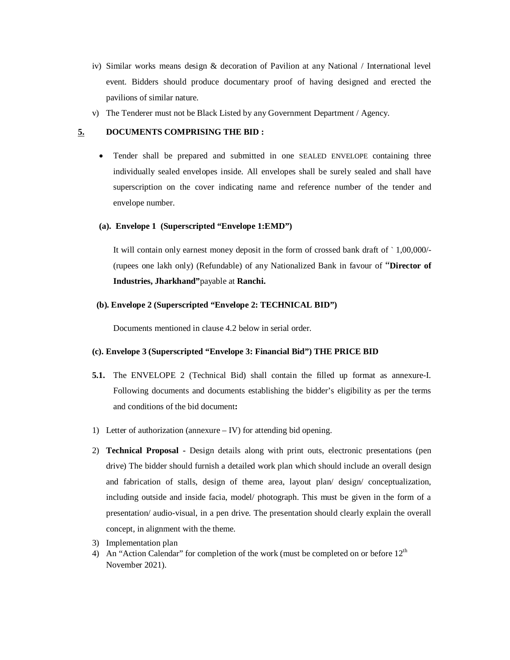- iv) Similar works means design & decoration of Pavilion at any National / International level event. Bidders should produce documentary proof of having designed and erected the pavilions of similar nature.
- v) The Tenderer must not be Black Listed by any Government Department / Agency.

#### **5. DOCUMENTS COMPRISING THE BID :**

 Tender shall be prepared and submitted in one SEALED ENVELOPE containing three individually sealed envelopes inside. All envelopes shall be surely sealed and shall have superscription on the cover indicating name and reference number of the tender and envelope number.

# **(a). Envelope 1 (Superscripted "Envelope 1:EMD")**

It will contain only earnest money deposit in the form of crossed bank draft of ` 1,00,000/- (rupees one lakh only) (Refundable) of any Nationalized Bank in favour of "**Director of Industries, Jharkhand"**payable at **Ranchi.**

#### **(b). Envelope 2 (Superscripted "Envelope 2: TECHNICAL BID")**

Documents mentioned in clause 4.2 below in serial order.

#### **(c). Envelope 3 (Superscripted "Envelope 3: Financial Bid") THE PRICE BID**

- **5.1.** The ENVELOPE 2 (Technical Bid) shall contain the filled up format as annexure-I. Following documents and documents establishing the bidder's eligibility as per the terms and conditions of the bid document**:**
- 1) Letter of authorization (annexure IV) for attending bid opening.
- 2) **Technical Proposal -** Design details along with print outs, electronic presentations (pen drive) The bidder should furnish a detailed work plan which should include an overall design and fabrication of stalls, design of theme area, layout plan/ design/ conceptualization, including outside and inside facia, model/ photograph. This must be given in the form of a presentation/ audio-visual, in a pen drive. The presentation should clearly explain the overall concept, in alignment with the theme.
- 3) Implementation plan
- 4) An "Action Calendar" for completion of the work (must be completed on or before  $12<sup>th</sup>$ November 2021).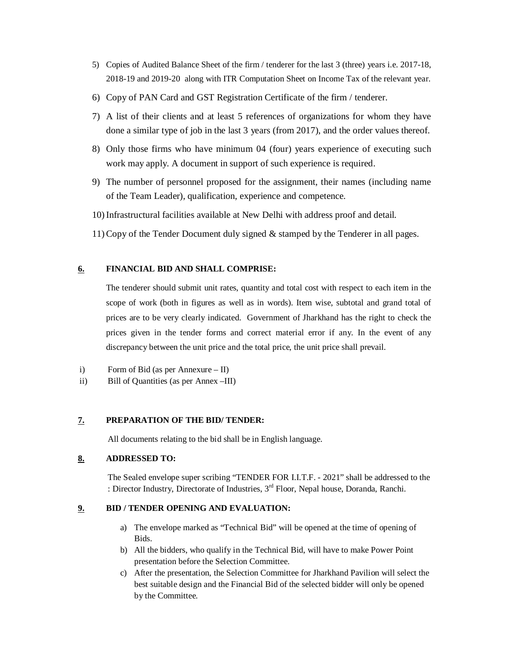- 5) Copies of Audited Balance Sheet of the firm / tenderer for the last 3 (three) years i.e. 2017-18, 2018-19 and 2019-20 along with ITR Computation Sheet on Income Tax of the relevant year.
- 6) Copy of PAN Card and GST Registration Certificate of the firm / tenderer.
- 7) A list of their clients and at least 5 references of organizations for whom they have done a similar type of job in the last 3 years (from 2017), and the order values thereof.
- 8) Only those firms who have minimum 04 (four) years experience of executing such work may apply. A document in support of such experience is required.
- 9) The number of personnel proposed for the assignment, their names (including name of the Team Leader), qualification, experience and competence.
- 10)Infrastructural facilities available at New Delhi with address proof and detail.
- 11)Copy of the Tender Document duly signed & stamped by the Tenderer in all pages.

# **6. FINANCIAL BID AND SHALL COMPRISE:**

The tenderer should submit unit rates, quantity and total cost with respect to each item in the scope of work (both in figures as well as in words). Item wise, subtotal and grand total of prices are to be very clearly indicated. Government of Jharkhand has the right to check the prices given in the tender forms and correct material error if any. In the event of any discrepancy between the unit price and the total price, the unit price shall prevail.

- i) Form of Bid (as per Annexure II)
- ii) Bill of Quantities (as per Annex –III)

## **7. PREPARATION OF THE BID/ TENDER:**

All documents relating to the bid shall be in English language.

# **8. ADDRESSED TO:**

The Sealed envelope super scribing "TENDER FOR I.I.T.F. - 2021" shall be addressed to the : Director Industry, Directorate of Industries, 3<sup>rd</sup> Floor, Nepal house, Doranda, Ranchi.

# **9. BID / TENDER OPENING AND EVALUATION:**

- a) The envelope marked as "Technical Bid" will be opened at the time of opening of Bids.
- b) All the bidders, who qualify in the Technical Bid, will have to make Power Point presentation before the Selection Committee.
- c) After the presentation, the Selection Committee for Jharkhand Pavilion will select the best suitable design and the Financial Bid of the selected bidder will only be opened by the Committee.